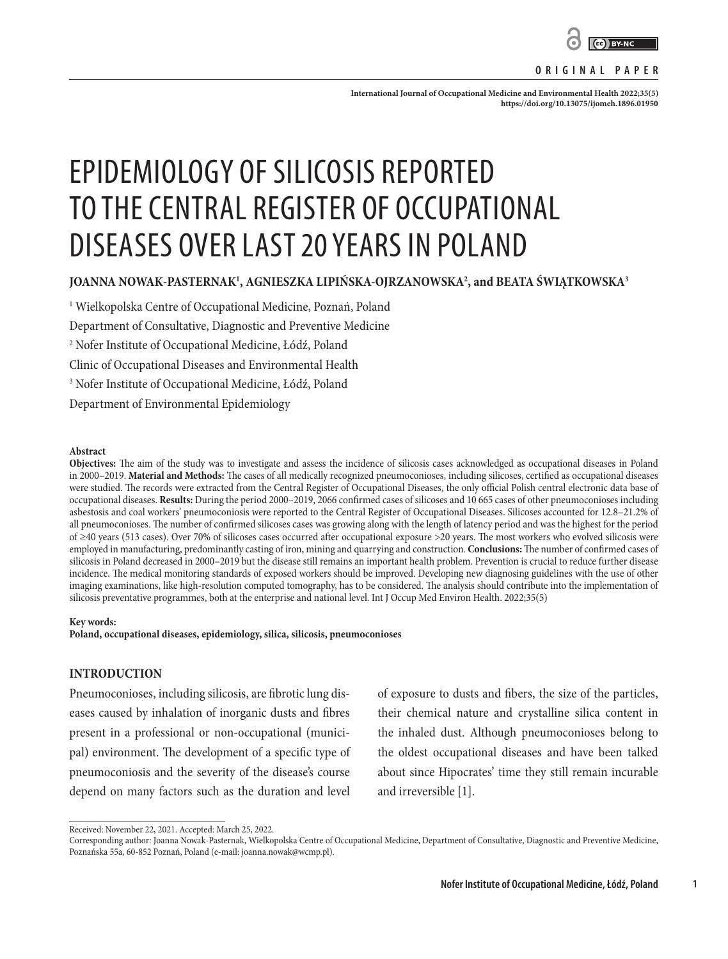

### **ORIGINAL PAPER**

International Journal of Occupational Medicine and Environmental Health 2022;35(5) **<https://doi.org/10.13075/ijomeh.1896.01950>**

# EPIDEMIOLOGY OF SILICOSIS REPORTED TO THE CENTRAL REGISTER OF OCCUPATIONAL DISEASES OVER LAST 20 YEARS IN POLAND

# **JOANNA NOWAK-PASTERNAK1 , AGNIESZKA LIPIŃSKA-OJRZANOWSKA2 , and BEATA ŚWIĄTKOWSKA3**

1 Wielkopolska Centre of Occupational Medicine, Poznań, Poland Department of Consultative, Diagnostic and Preventive Medicine 2 Nofer Institute of Occupational Medicine, Łódź, Poland Clinic of Occupational Diseases and Environmental Health 3 Nofer Institute of Occupational Medicine, Łódź, Poland Department of Environmental Epidemiology

#### **Abstract**

**Objectives:** The aim of the study was to investigate and assess the incidence of silicosis cases acknowledged as occupational diseases in Poland in 2000–2019. **Material and Methods:** The cases of all medically recognized pneumoconioses, including silicoses, certified as occupational diseases were studied. The records were extracted from the Central Register of Occupational Diseases, the only official Polish central electronic data base of occupational diseases. **Results:** During the period 2000–2019, 2066 confirmed cases of silicoses and 10 665 cases of other pneumoconioses including asbestosis and coal workers' pneumoconiosis were reported to the Central Register of Occupational Diseases. Silicoses accounted for 12.8–21.2% of all pneumoconioses. The number of confirmed silicoses cases was growing along with the length of latency period and was the highest for the period of ≥40 years (513 cases). Over 70% of silicoses cases occurred after occupational exposure >20 years. The most workers who evolved silicosis were employed in manufacturing, predominantly casting of iron, mining and quarrying and construction. **Conclusions:** The number of confirmed cases of silicosis in Poland decreased in 2000–2019 but the disease still remains an important health problem. Prevention is crucial to reduce further disease incidence. The medical monitoring standards of exposed workers should be improved. Developing new diagnosing guidelines with the use of other imaging examinations, like high-resolution computed tomography, has to be considered. The analysis should contribute into the implementation of silicosis preventative programmes, both at the enterprise and national level. Int J Occup Med Environ Health. 2022;35(5)

#### **Key words:**

**Poland, occupational diseases, epidemiology, silica, silicosis, pneumoconioses**

## **INTRODUCTION**

Pneumoconioses, including silicosis, are fibrotic lung diseases caused by inhalation of inorganic dusts and fibres present in a professional or non-occupational (municipal) environment. The development of a specific type of pneumoconiosis and the severity of the disease's course depend on many factors such as the duration and level of exposure to dusts and fibers, the size of the particles, their chemical nature and crystalline silica content in the inhaled dust. Although pneumoconioses belong to the oldest occupational diseases and have been talked about since Hipocrates' time they still remain incurable and irreversible [1].

**1**

Received: November 22, 2021. Accepted: March 25, 2022.

Corresponding author: Joanna Nowak-Pasternak, Wielkopolska Centre of Occupational Medicine, Department of Consultative, Diagnostic and Preventive Medicine, Poznańska 55a, 60-852 Poznań, Poland (e-mail: joanna.nowak@wcmp.pl).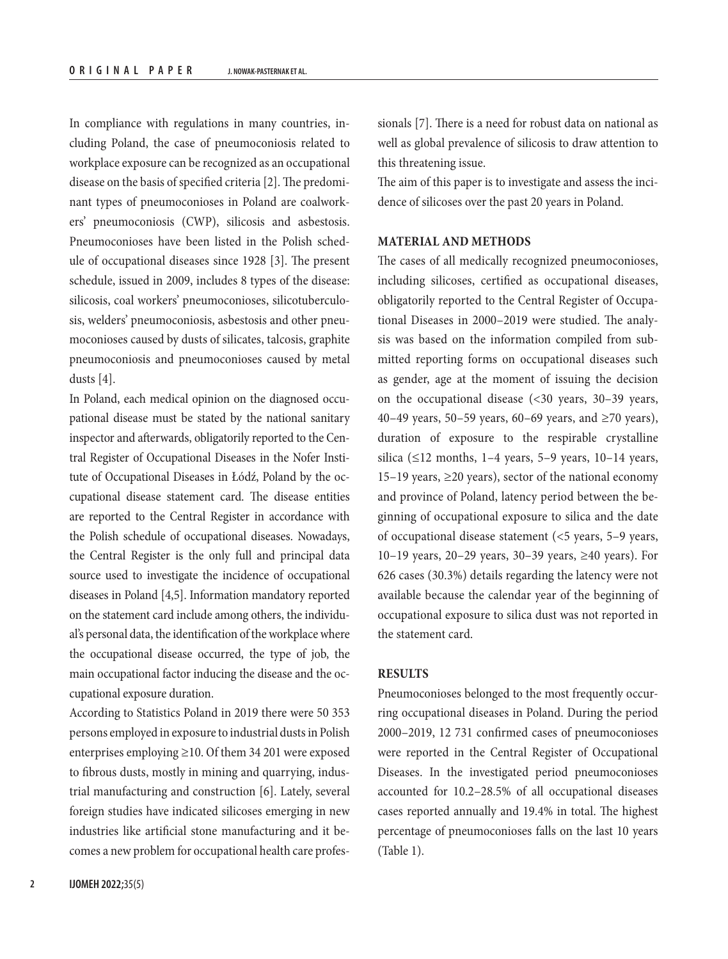In compliance with regulations in many countries, including Poland, the case of pneumoconiosis related to workplace exposure can be recognized as an occupational disease on the basis of specified criteria [2]. The predominant types of pneumoconioses in Poland are coalworkers' pneumoconiosis (CWP), silicosis and asbestosis. Pneumoconioses have been listed in the Polish schedule of occupational diseases since 1928 [3]. The present schedule, issued in 2009, includes 8 types of the disease: silicosis, coal workers' pneumoconioses, silicotuberculosis, welders' pneumoconiosis, asbestosis and other pneumoconioses caused by dusts of silicates, talcosis, graphite pneumoconiosis and pneumoconioses caused by metal dusts [4].

In Poland, each medical opinion on the diagnosed occupational disease must be stated by the national sanitary inspector and afterwards, obligatorily reported to the Central Register of Occupational Diseases in the Nofer Institute of Occupational Diseases in Łódź, Poland by the occupational disease statement card. The disease entities are reported to the Central Register in accordance with the Polish schedule of occupational diseases. Nowadays, the Central Register is the only full and principal data source used to investigate the incidence of occupational diseases in Poland [4,5]. Information mandatory reported on the statement card include among others, the individual's personal data, the identification of the workplace where the occupational disease occurred, the type of job, the main occupational factor inducing the disease and the occupational exposure duration.

According to Statistics Poland in 2019 there were 50 353 persons employed in exposure to industrial dusts in Polish enterprises employing ≥10. Of them 34 201 were exposed to fibrous dusts, mostly in mining and quarrying, industrial manufacturing and construction [6]. Lately, several foreign studies have indicated silicoses emerging in new industries like artificial stone manufacturing and it becomes a new problem for occupational health care professionals [7]. There is a need for robust data on national as well as global prevalence of silicosis to draw attention to this threatening issue.

The aim of this paper is to investigate and assess the incidence of silicoses over the past 20 years in Poland.

## **MATERIAL AND METHODS**

The cases of all medically recognized pneumoconioses, including silicoses, certified as occupational diseases, obligatorily reported to the Central Register of Occupational Diseases in 2000–2019 were studied. The analysis was based on the information compiled from submitted reporting forms on occupational diseases such as gender, age at the moment of issuing the decision on the occupational disease (<30 years, 30–39 years, 40–49 years, 50–59 years, 60–69 years, and ≥70 years), duration of exposure to the respirable crystalline silica ( $\leq$ 12 months, 1–4 years, 5–9 years, 10–14 years, 15–19 years, ≥20 years), sector of the national economy and province of Poland, latency period between the beginning of occupational exposure to silica and the date of occupational disease statement (<5 years, 5–9 years, 10–19 years, 20–29 years, 30–39 years, ≥40 years). For 626 cases (30.3%) details regarding the latency were not available because the calendar year of the beginning of occupational exposure to silica dust was not reported in the statement card.

#### **RESULTS**

Pneumoconioses belonged to the most frequently occurring occupational diseases in Poland. During the period 2000–2019, 12 731 confirmed cases of pneumoconioses were reported in the Central Register of Occupational Diseases. In the investigated period pneumoconioses accounted for 10.2–28.5% of all occupational diseases cases reported annually and 19.4% in total. The highest percentage of pneumoconioses falls on the last 10 years (Table 1).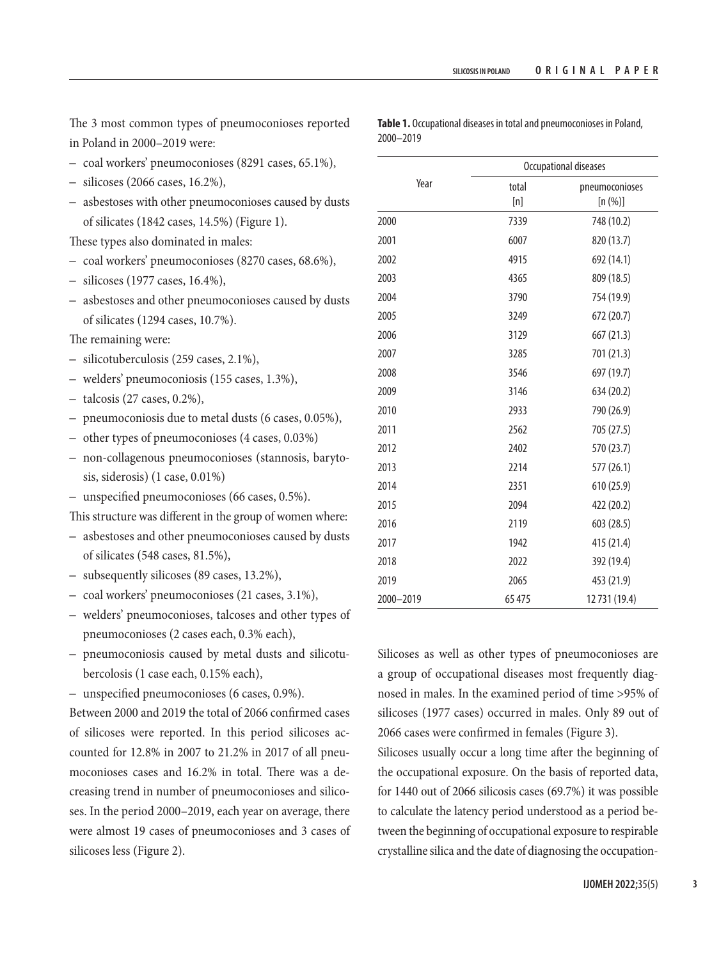The 3 most common types of pneumoconioses reported in Poland in 2000–2019 were:

- coal workers' pneumoconioses (8291 cases, 65.1%),
- silicoses (2066 cases, 16.2%),
- asbestoses with other pneumoconioses caused by dusts of silicates (1842 cases, 14.5%) (Figure 1).

These types also dominated in males:

- coal workers' pneumoconioses (8270 cases, 68.6%),
- silicoses (1977 cases, 16.4%),
- asbestoses and other pneumoconioses caused by dusts of silicates (1294 cases, 10.7%).
- The remaining were:
- silicotuberculosis (259 cases, 2.1%),
- welders' pneumoconiosis (155 cases, 1.3%),
- talcosis (27 cases, 0.2%),
- pneumoconiosis due to metal dusts (6 cases, 0.05%),
- other types of pneumoconioses (4 cases, 0.03%)
- non-collagenous pneumoconioses (stannosis, barytosis, siderosis) (1 case, 0.01%)
- unspecified pneumoconioses (66 cases, 0.5%).

This structure was different in the group of women where:

- asbestoses and other pneumoconioses caused by dusts of silicates (548 cases, 81.5%),
- subsequently silicoses (89 cases, 13.2%),
- coal workers' pneumoconioses (21 cases, 3.1%),
- welders' pneumoconioses, talcoses and other types of pneumoconioses (2 cases each, 0.3% each),
- pneumoconiosis caused by metal dusts and silicotubercolosis (1 case each, 0.15% each),
- unspecified pneumoconioses (6 cases, 0.9%).

Between 2000 and 2019 the total of 2066 confirmed cases of silicoses were reported. In this period silicoses accounted for 12.8% in 2007 to 21.2% in 2017 of all pneumoconioses cases and 16.2% in total. There was a decreasing trend in number of pneumoconioses and silicoses. In the period 2000–2019, each year on average, there were almost 19 cases of pneumoconioses and 3 cases of silicoses less (Figure 2).

| Year      | Occupational diseases |                           |
|-----------|-----------------------|---------------------------|
|           | total<br>[n]          | pneumoconioses<br>[n (%)] |
| 2000      | 7339                  | 748 (10.2)                |
| 2001      | 6007                  | 820 (13.7)                |
| 2002      | 4915                  | 692 (14.1)                |
| 2003      | 4365                  | 809 (18.5)                |
| 2004      | 3790                  | 754 (19.9)                |
| 2005      | 3249                  | 672 (20.7)                |
| 2006      | 3129                  | 667 (21.3)                |
| 2007      | 3285                  | 701 (21.3)                |
| 2008      | 3546                  | 697 (19.7)                |
| 2009      | 3146                  | 634 (20.2)                |
| 2010      | 2933                  | 790 (26.9)                |
| 2011      | 2562                  | 705 (27.5)                |
| 2012      | 2402                  | 570 (23.7)                |
| 2013      | 2214                  | 577 (26.1)                |
| 2014      | 2351                  | 610 (25.9)                |
| 2015      | 2094                  | 422 (20.2)                |
| 2016      | 2119                  | 603 (28.5)                |
| 2017      | 1942                  | 415 (21.4)                |
| 2018      | 2022                  | 392 (19.4)                |
| 2019      | 2065                  | 453 (21.9)                |
| 2000-2019 | 65 475                | 12731 (19.4)              |

Silicoses as well as other types of pneumoconioses are a group of occupational diseases most frequently diagnosed in males. In the examined period of time >95% of silicoses (1977 cases) occurred in males. Only 89 out of 2066 cases were confirmed in females (Figure 3).

Silicoses usually occur a long time after the beginning of the occupational exposure. On the basis of reported data, for 1440 out of 2066 silicosis cases (69.7%) it was possible to calculate the latency period understood as a period between the beginning of occupational exposure to respirable crystalline silica and the date of diagnosing the occupation-

**Table 1.** Occupational diseases in total and pneumoconioses in Poland, 2000–2019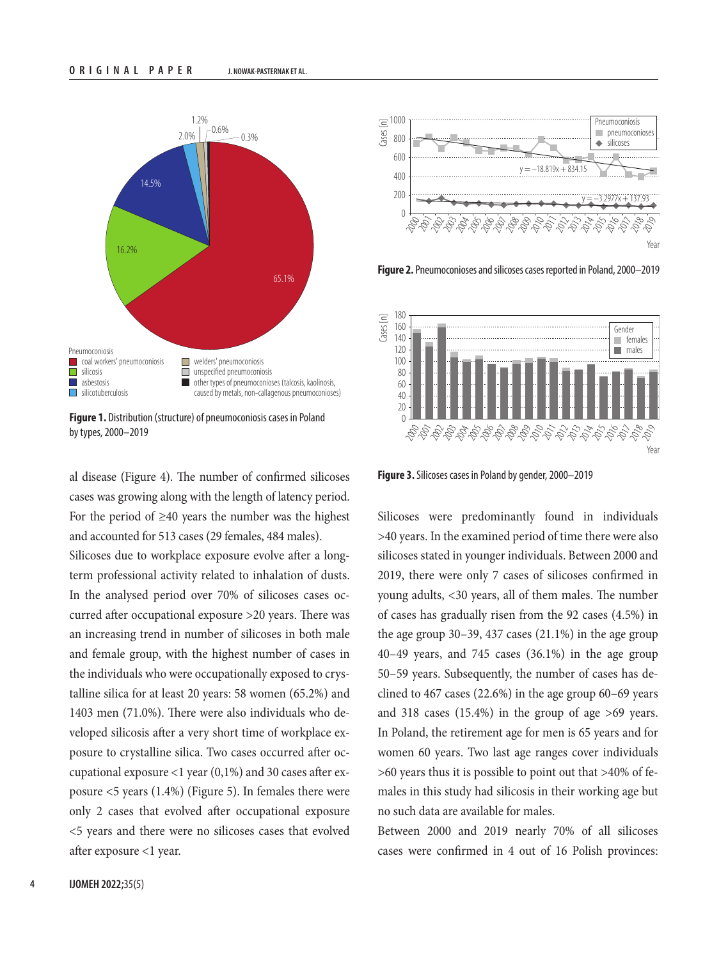

**Figure 1.** Distribution (structure) of pneumoconiosis cases in Poland by types, 2000–2019

al disease (Figure 4). The number of confirmed silicoses cases was growing along with the length of latency period. For the period of  $\geq 40$  years the number was the highest and accounted for 513 cases (29 females, 484 males).

Silicoses due to workplace exposure evolve after a longterm professional activity related to inhalation of dusts. In the analysed period over 70% of silicoses cases occurred after occupational exposure >20 years. There was an increasing trend in number of silicoses in both male and female group, with the highest number of cases in the individuals who were occupationally exposed to crystalline silica for at least 20 years: 58 women (65.2%) and 1403 men (71.0%). There were also individuals who developed silicosis after a very short time of workplace exposure to crystalline silica. Two cases occurred after occupational exposure <1 year (0,1%) and 30 cases after exposure <5 years (1.4%) (Figure 5). In females there were only 2 cases that evolved after occupational exposure <5 years and there were no silicoses cases that evolved after exposure <1 year.



**Figure 2.** Pneumoconioses and silicoses cases reported in Poland, 2000–2019



**Figure 3.** Silicoses cases in Poland by gender, 2000–2019

Silicoses were predominantly found in individuals >40 years. In the examined period of time there were also silicoses stated in younger individuals. Between 2000 and 2019, there were only 7 cases of silicoses confirmed in young adults, <30 years, all of them males. The number of cases has gradually risen from the 92 cases (4.5%) in the age group 30–39, 437 cases (21.1%) in the age group 40–49 years, and 745 cases (36.1%) in the age group 50–59 years. Subsequently, the number of cases has declined to 467 cases (22.6%) in the age group 60–69 years and 318 cases (15.4%) in the group of age >69 years. In Poland, the retirement age for men is 65 years and for women 60 years. Two last age ranges cover individuals >60 years thus it is possible to point out that >40% of females in this study had silicosis in their working age but no such data are available for males.

Between 2000 and 2019 nearly 70% of all silicoses cases were confirmed in 4 out of 16 Polish provinces: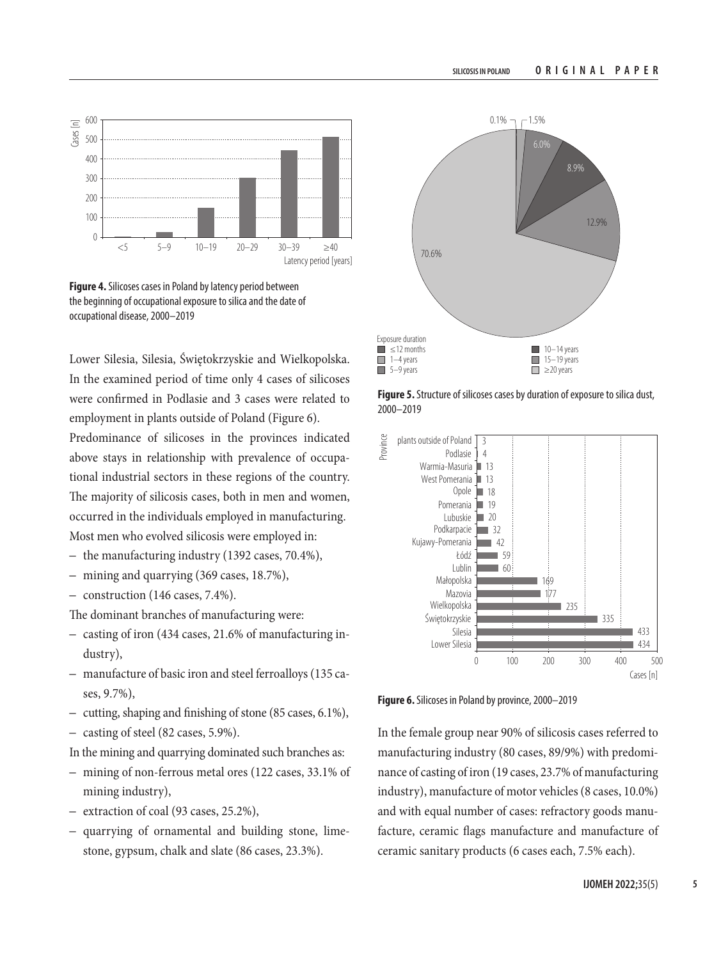

**Figure 4.** Silicoses cases in Poland by latency period between the beginning of occupational exposure to silica and the date of occupational disease, 2000–2019

Lower Silesia, Silesia, Świętokrzyskie and Wielkopolska. In the examined period of time only 4 cases of silicoses were confirmed in Podlasie and 3 cases were related to employment in plants outside of Poland (Figure 6).

Predominance of silicoses in the provinces indicated above stays in relationship with prevalence of occupational industrial sectors in these regions of the country. The majority of silicosis cases, both in men and women, occurred in the individuals employed in manufacturing. Most men who evolved silicosis were employed in:

- the manufacturing industry (1392 cases, 70.4%),
- mining and quarrying (369 cases, 18.7%),
- construction (146 cases, 7.4%).

The dominant branches of manufacturing were:

- casting of iron (434 cases, 21.6% of manufacturing industry),
- manufacture of basic iron and steel ferroalloys (135 cases, 9.7%),
- cutting, shaping and finishing of stone (85 cases, 6.1%),
- casting of steel (82 cases, 5.9%).
- In the mining and quarrying dominated such branches as:
- mining of non-ferrous metal ores (122 cases, 33.1% of mining industry),
- extraction of coal (93 cases, 25.2%),
- quarrying of ornamental and building stone, limestone, gypsum, chalk and slate (86 cases, 23.3%).



**Figure 5.** Structure of silicoses cases by duration of exposure to silica dust, 2000–2019



**Figure 6.** Silicoses in Poland by province, 2000–2019

In the female group near 90% of silicosis cases referred to manufacturing industry (80 cases, 89/9%) with predominance of casting of iron (19 cases, 23.7% of manufacturing industry), manufacture of motor vehicles (8 cases, 10.0%) and with equal number of cases: refractory goods manufacture, ceramic flags manufacture and manufacture of ceramic sanitary products (6 cases each, 7.5% each).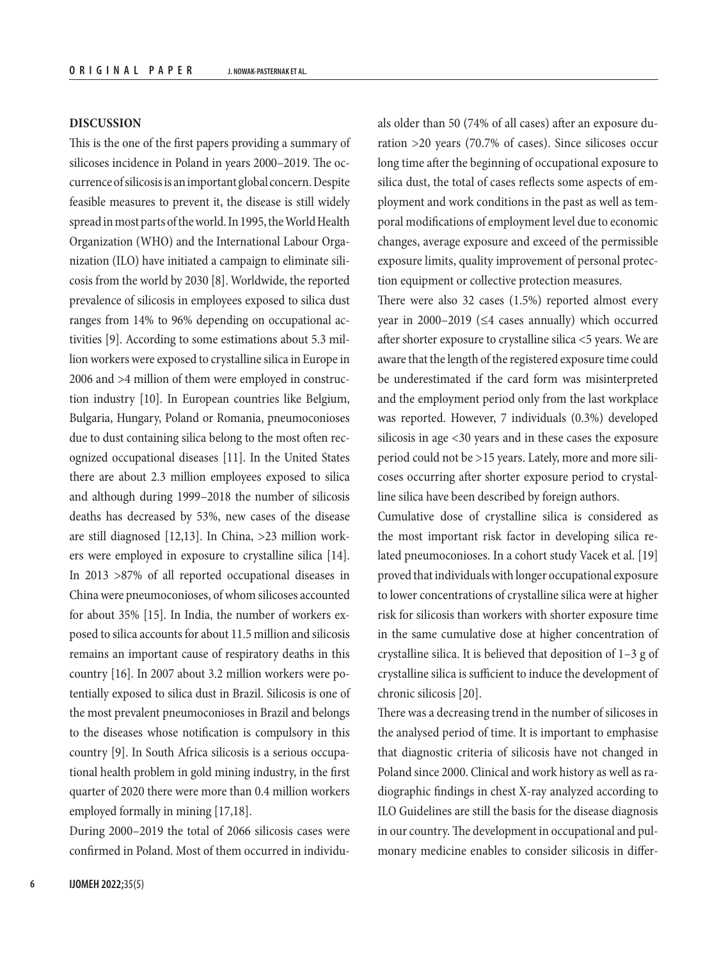## **DISCUSSION**

This is the one of the first papers providing a summary of silicoses incidence in Poland in years 2000–2019. The occurrence of silicosis is an important global concern. Despite feasible measures to prevent it, the disease is still widely spread in most parts of the world. In 1995, the World Health Organization (WHO) and the International Labour Organization (ILO) have initiated a campaign to eliminate silicosis from the world by 2030 [8]. Worldwide, the reported prevalence of silicosis in employees exposed to silica dust ranges from 14% to 96% depending on occupational activities [9]. According to some estimations about 5.3 million workers were exposed to crystalline silica in Europe in 2006 and >4 million of them were employed in construction industry [10]. In European countries like Belgium, Bulgaria, Hungary, Poland or Romania, pneumoconioses due to dust containing silica belong to the most often recognized occupational diseases [11]. In the United States there are about 2.3 million employees exposed to silica and although during 1999–2018 the number of silicosis deaths has decreased by 53%, new cases of the disease are still diagnosed [12,13]. In China, >23 million workers were employed in exposure to crystalline silica [14]. In 2013 >87% of all reported occupational diseases in China were pneumoconioses, of whom silicoses accounted for about 35% [15]. In India, the number of workers exposed to silica accounts for about 11.5 million and silicosis remains an important cause of respiratory deaths in this country [16]. In 2007 about 3.2 million workers were potentially exposed to silica dust in Brazil. Silicosis is one of the most prevalent pneumoconioses in Brazil and belongs to the diseases whose notification is compulsory in this country [9]. In South Africa silicosis is a serious occupational health problem in gold mining industry, in the first quarter of 2020 there were more than 0.4 million workers employed formally in mining [17,18].

During 2000–2019 the total of 2066 silicosis cases were confirmed in Poland. Most of them occurred in individu-

als older than 50 (74% of all cases) after an exposure duration >20 years (70.7% of cases). Since silicoses occur long time after the beginning of occupational exposure to silica dust, the total of cases reflects some aspects of employment and work conditions in the past as well as temporal modifications of employment level due to economic changes, average exposure and exceed of the permissible exposure limits, quality improvement of personal protection equipment or collective protection measures.

There were also 32 cases (1.5%) reported almost every year in 2000–2019 (≤4 cases annually) which occurred after shorter exposure to crystalline silica <5 years. We are aware that the length of the registered exposure time could be underestimated if the card form was misinterpreted and the employment period only from the last workplace was reported. However, 7 individuals (0.3%) developed silicosis in age <30 years and in these cases the exposure period could not be >15 years. Lately, more and more silicoses occurring after shorter exposure period to crystalline silica have been described by foreign authors.

Cumulative dose of crystalline silica is considered as the most important risk factor in developing silica related pneumoconioses. In a cohort study Vacek et al. [19] proved that individuals with longer occupational exposure to lower concentrations of crystalline silica were at higher risk for silicosis than workers with shorter exposure time in the same cumulative dose at higher concentration of crystalline silica. It is believed that deposition of 1–3 g of crystalline silica is sufficient to induce the development of chronic silicosis [20].

There was a decreasing trend in the number of silicoses in the analysed period of time. It is important to emphasise that diagnostic criteria of silicosis have not changed in Poland since 2000. Clinical and work history as well as radiographic findings in chest X-ray analyzed according to ILO Guidelines are still the basis for the disease diagnosis in our country. The development in occupational and pulmonary medicine enables to consider silicosis in differ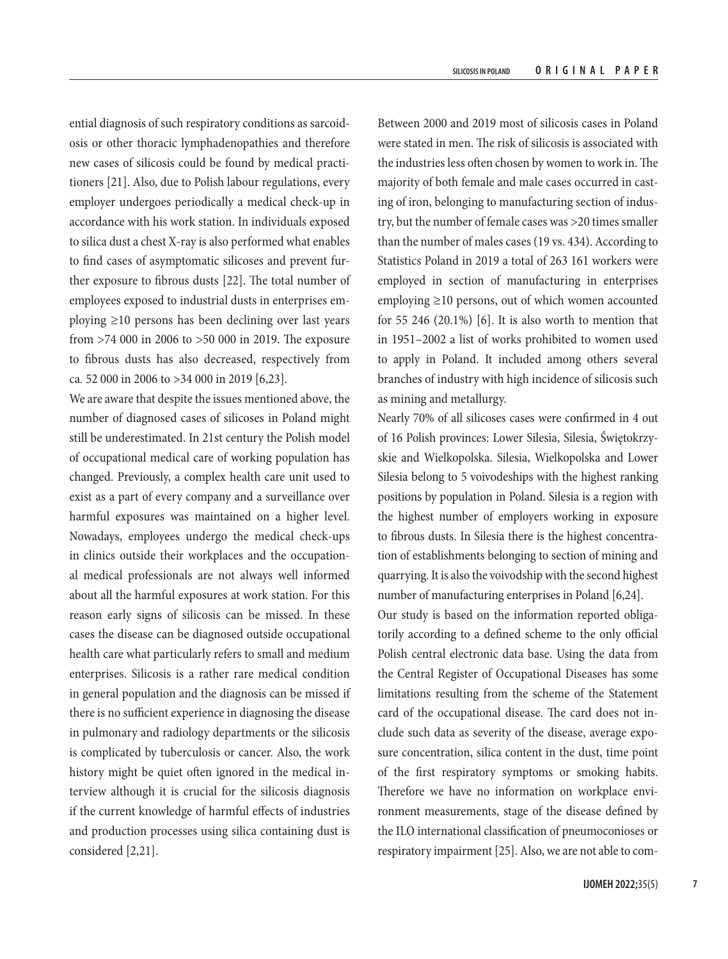ential diagnosis of such respiratory conditions as sarcoidosis or other thoracic lymphadenopathies and therefore new cases of silicosis could be found by medical practitioners [21]. Also, due to Polish labour regulations, every employer undergoes periodically a medical check-up in accordance with his work station. In individuals exposed to silica dust a chest X-ray is also performed what enables to find cases of asymptomatic silicoses and prevent further exposure to fibrous dusts [22]. The total number of employees exposed to industrial dusts in enterprises employing ≥10 persons has been declining over last years from >74 000 in 2006 to >50 000 in 2019. The exposure to fibrous dusts has also decreased, respectively from ca. 52 000 in 2006 to >34 000 in 2019 [6,23].

We are aware that despite the issues mentioned above, the number of diagnosed cases of silicoses in Poland might still be underestimated. In 21st century the Polish model of occupational medical care of working population has changed. Previously, a complex health care unit used to exist as a part of every company and a surveillance over harmful exposures was maintained on a higher level. Nowadays, employees undergo the medical check-ups in clinics outside their workplaces and the occupational medical professionals are not always well informed about all the harmful exposures at work station. For this reason early signs of silicosis can be missed. In these cases the disease can be diagnosed outside occupational health care what particularly refers to small and medium enterprises. Silicosis is a rather rare medical condition in general population and the diagnosis can be missed if there is no sufficient experience in diagnosing the disease in pulmonary and radiology departments or the silicosis is complicated by tuberculosis or cancer. Also, the work history might be quiet often ignored in the medical interview although it is crucial for the silicosis diagnosis if the current knowledge of harmful effects of industries and production processes using silica containing dust is considered [2,21].

Between 2000 and 2019 most of silicosis cases in Poland were stated in men. The risk of silicosis is associated with the industries less often chosen by women to work in. The majority of both female and male cases occurred in casting of iron, belonging to manufacturing section of industry, but the number of female cases was >20 times smaller than the number of males cases (19 vs. 434). According to Statistics Poland in 2019 a total of 263 161 workers were employed in section of manufacturing in enterprises employing ≥10 persons, out of which women accounted for 55 246  $(20.1\%)$  [6]. It is also worth to mention that in 1951–2002 a list of works prohibited to women used to apply in Poland. It included among others several branches of industry with high incidence of silicosis such as mining and metallurgy.

Nearly 70% of all silicoses cases were confirmed in 4 out of 16 Polish provinces: Lower Silesia, Silesia, Świętokrzyskie and Wielkopolska. Silesia, Wielkopolska and Lower Silesia belong to 5 voivodeships with the highest ranking positions by population in Poland. Silesia is a region with the highest number of employers working in exposure to fibrous dusts. In Silesia there is the highest concentration of establishments belonging to section of mining and quarrying. It is also the voivodship with the second highest number of manufacturing enterprises in Poland [6,24].

Our study is based on the information reported obligatorily according to a defined scheme to the only official Polish central electronic data base. Using the data from the Central Register of Occupational Diseases has some limitations resulting from the scheme of the Statement card of the occupational disease. The card does not include such data as severity of the disease, average exposure concentration, silica content in the dust, time point of the first respiratory symptoms or smoking habits. Therefore we have no information on workplace environment measurements, stage of the disease defined by the ILO international classification of pneumoconioses or respiratory impairment [25]. Also, we are not able to com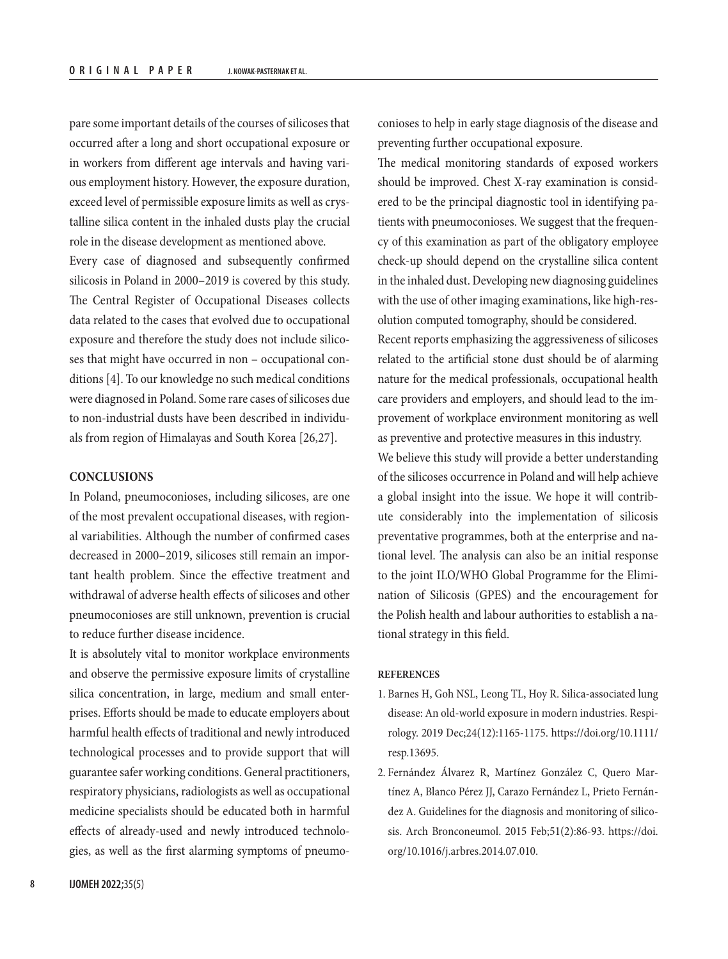pare some important details of the courses of silicoses that occurred after a long and short occupational exposure or in workers from different age intervals and having various employment history. However, the exposure duration, exceed level of permissible exposure limits as well as crystalline silica content in the inhaled dusts play the crucial role in the disease development as mentioned above.

Every case of diagnosed and subsequently confirmed silicosis in Poland in 2000–2019 is covered by this study. The Central Register of Occupational Diseases collects data related to the cases that evolved due to occupational exposure and therefore the study does not include silicoses that might have occurred in non – occupational conditions [4]. To our knowledge no such medical conditions were diagnosed in Poland. Some rare cases of silicoses due to non-industrial dusts have been described in individuals from region of Himalayas and South Korea [26,27].

## **CONCLUSIONS**

In Poland, pneumoconioses, including silicoses, are one of the most prevalent occupational diseases, with regional variabilities. Although the number of confirmed cases decreased in 2000–2019, silicoses still remain an important health problem. Since the effective treatment and withdrawal of adverse health effects of silicoses and other pneumoconioses are still unknown, prevention is crucial to reduce further disease incidence.

It is absolutely vital to monitor workplace environments and observe the permissive exposure limits of crystalline silica concentration, in large, medium and small enterprises. Efforts should be made to educate employers about harmful health effects of traditional and newly introduced technological processes and to provide support that will guarantee safer working conditions. General practitioners, respiratory physicians, radiologists as well as occupational medicine specialists should be educated both in harmful effects of already-used and newly introduced technologies, as well as the first alarming symptoms of pneumoconioses to help in early stage diagnosis of the disease and preventing further occupational exposure.

The medical monitoring standards of exposed workers should be improved. Chest X-ray examination is considered to be the principal diagnostic tool in identifying patients with pneumoconioses. We suggest that the frequency of this examination as part of the obligatory employee check-up should depend on the crystalline silica content in the inhaled dust. Developing new diagnosing guidelines with the use of other imaging examinations, like high-resolution computed tomography, should be considered. Recent reports emphasizing the aggressiveness of silicoses related to the artificial stone dust should be of alarming

nature for the medical professionals, occupational health care providers and employers, and should lead to the improvement of workplace environment monitoring as well as preventive and protective measures in this industry.

We believe this study will provide a better understanding of the silicoses occurrence in Poland and will help achieve a global insight into the issue. We hope it will contribute considerably into the implementation of silicosis preventative programmes, both at the enterprise and national level. The analysis can also be an initial response to the joint ILO/WHO Global Programme for the Elimination of Silicosis (GPES) and the encouragement for the Polish health and labour authorities to establish a national strategy in this field.

#### **REFERENCES**

- 1. Barnes H, Goh NSL, Leong TL, Hoy R. Silica-associated lung disease: An old-world exposure in modern industries. Respirology. 2019 Dec;24(12):1165-1175. [https://doi.org/10.1111/](https://doi.org/10.1111/resp.13695) [resp.13695](https://doi.org/10.1111/resp.13695).
- 2. Fernández Álvarez R, Martínez González C, Quero Martínez A, Blanco Pérez JJ, Carazo Fernández L, Prieto Fernández A. Guidelines for the diagnosis and monitoring of silicosis. Arch Bronconeumol. 2015 Feb;51(2):86-93. [https://doi.](https://doi.org/10.1016/j.arbres.2014.07.010) [org/10.1016/j.arbres.2014.07.010](https://doi.org/10.1016/j.arbres.2014.07.010).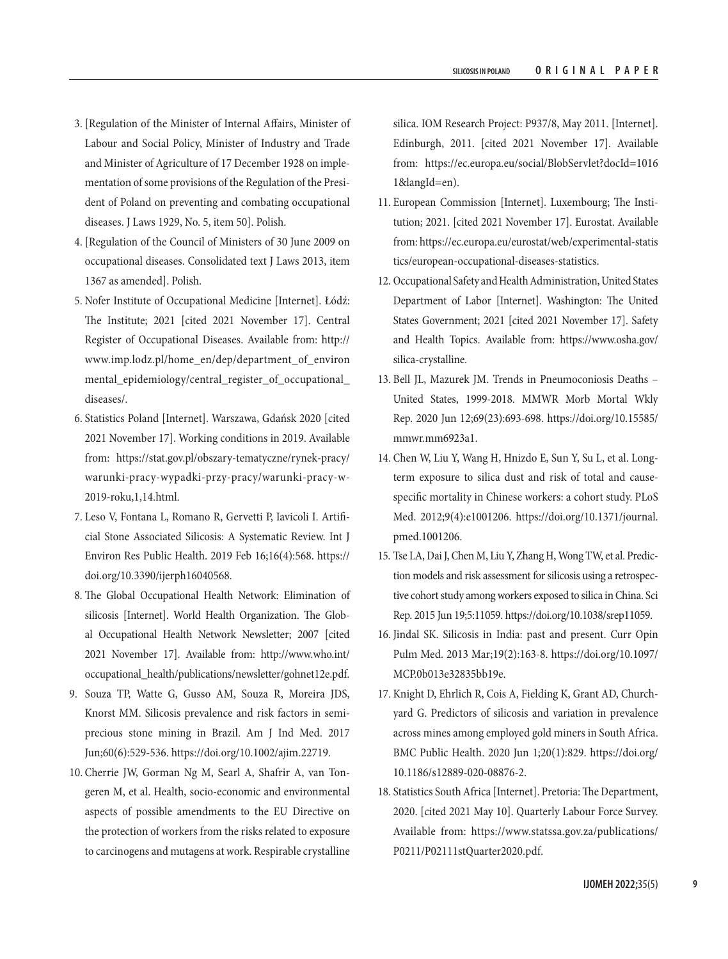- 3. [Regulation of the Minister of Internal Affairs, Minister of Labour and Social Policy, Minister of Industry and Trade and Minister of Agriculture of 17 December 1928 on implementation of some provisions of the Regulation of the President of Poland on preventing and combating occupational diseases. J Laws 1929, No. 5, item 50]. Polish.
- 4. [Regulation of the Council of Ministers of 30 June 2009 on occupational diseases. Consolidated text J Laws 2013, item 1367 as amended]. Polish.
- 5. Nofer Institute of Occupational Medicine [Internet]. Łódź: The Institute; 2021 [cited 2021 November 17]. Central Register of Occupational Diseases. Available from: [http://](http://www.imp.lodz.pl/home_en/dep/department_of_environmental_epidemiology/central_register_of_occupational_diseases/) [www.imp.lodz.pl/home\\_en/dep/department\\_of\\_environ](http://www.imp.lodz.pl/home_en/dep/department_of_environmental_epidemiology/central_register_of_occupational_diseases/) [mental\\_epidemiology/central\\_register\\_of\\_occupational\\_](http://www.imp.lodz.pl/home_en/dep/department_of_environmental_epidemiology/central_register_of_occupational_diseases/) [diseases/](http://www.imp.lodz.pl/home_en/dep/department_of_environmental_epidemiology/central_register_of_occupational_diseases/).
- 6. Statistics Poland [Internet]. Warszawa, Gdańsk 2020 [cited 2021 November 17]. Working conditions in 2019. Available from: [https://stat.gov.pl/obszary-tematyczne/rynek-pracy/](https://stat.gov.pl/obszary-tematyczne/rynek-pracy/warunki-pracy-wypadki-przy-pracy/warunki-pracy-w-2019-roku,1,14.html) [warunki-pracy-wypadki-przy-pracy/warunki-pracy-w-](https://stat.gov.pl/obszary-tematyczne/rynek-pracy/warunki-pracy-wypadki-przy-pracy/warunki-pracy-w-2019-roku,1,14.html)[2019-roku,1,14.html.](https://stat.gov.pl/obszary-tematyczne/rynek-pracy/warunki-pracy-wypadki-przy-pracy/warunki-pracy-w-2019-roku,1,14.html)
- 7. Leso V, Fontana L, Romano R, Gervetti P, Iavicoli I. Artificial Stone Associated Silicosis: A Systematic Review. Int J Environ Res Public Health. 2019 Feb 16;16(4):568. [https://](https://doi.org/10.3390/ijerph16040568) [doi.org/10.3390/ijerph16040568.](https://doi.org/10.3390/ijerph16040568)
- 8. The Global Occupational Health Network: Elimination of silicosis [Internet]. World Health Organization. The Global Occupational Health Network Newsletter; 2007 [cited 2021 November 17]. Available from: [http://www.who.int/](http://www.who.int/occupational_health/publications/newsletter/gohnet12e.pdf) [occupational\\_health/publications/newsletter/gohnet12e.pdf.](http://www.who.int/occupational_health/publications/newsletter/gohnet12e.pdf)
- 9. Souza TP, Watte G, Gusso AM, Souza R, Moreira JDS, Knorst MM. Silicosis prevalence and risk factors in semiprecious stone mining in Brazil. Am J Ind Med. 2017 Jun;60(6):529-536. [https://doi.org/10.1002/ajim.22719.](https://doi.org/10.1002/ajim.22719)
- 10. Cherrie JW, Gorman Ng M, Searl A, Shafrir A, van Tongeren M, et al. Health, socio-economic and environmental aspects of possible amendments to the EU Directive on the protection of workers from the risks related to exposure to carcinogens and mutagens at work. Respirable crystalline

silica. IOM Research Project: P937/8, May 2011. [Internet]. Edinburgh, 2011. [cited 2021 November 17]. Available from: [https://ec.europa.eu/social/BlobServlet?docId=1016](https://ec.europa.eu/social/BlobServlet?docId=10161&langId=en) [1&langId=en\)](https://ec.europa.eu/social/BlobServlet?docId=10161&langId=en).

- 11. European Commission [Internet]. Luxembourg; The Institution; 2021. [cited 2021 November 17]. Eurostat. Available from: [https://ec.europa.eu/eurostat/web/experimental-statis](https://ec.europa.eu/eurostat/web/experimental-statistics/european-occupational-diseases-statistics) [tics/european-occupational-diseases-statistics](https://ec.europa.eu/eurostat/web/experimental-statistics/european-occupational-diseases-statistics).
- 12. Occupational Safety and Health Administration, United States Department of Labor [Internet]. Washington: The United States Government; 2021 [cited 2021 November 17]. Safety and Health Topics. Available from: [https://www.osha.gov/](https://www.osha.gov/silica-crystalline) [silica-crystalline](https://www.osha.gov/silica-crystalline).
- 13. Bell JL, Mazurek JM. Trends in Pneumoconiosis Deaths United States, 1999-2018. MMWR Morb Mortal Wkly Rep. 2020 Jun 12;69(23):693-698. [https://doi.org/10.15585/](https://doi.org/10.15585/mmwr.mm6923a1) [mmwr.mm6923a1.](https://doi.org/10.15585/mmwr.mm6923a1)
- 14. Chen W, Liu Y, Wang H, Hnizdo E, Sun Y, Su L, et al. Longterm exposure to silica dust and risk of total and causespecific mortality in Chinese workers: a cohort study. PLoS Med. 2012;9(4):e1001206. [https://doi.org/10.1371/journal.](https://doi.org/10.1371/journal.pmed.1001206) [pmed.1001206](https://doi.org/10.1371/journal.pmed.1001206).
- 15. Tse LA, Dai J, Chen M, Liu Y, Zhang H, Wong TW, et al. Prediction models and risk assessment for silicosis using a retrospective cohort study among workers exposed to silica in China. Sci Rep. 2015 Jun 19;5:11059. [https://doi.org/10.1038/srep11059.](https://doi.org/10.1038/srep11059)
- 16. Jindal SK. Silicosis in India: past and present. Curr Opin Pulm Med. 2013 Mar;19(2):163-8. [https://doi.org/10.1097/](https://doi.org/10.1097/MCP.0b013e32835bb19e) [MCP.0b013e32835bb19e.](https://doi.org/10.1097/MCP.0b013e32835bb19e)
- 17. Knight D, Ehrlich R, Cois A, Fielding K, Grant AD, Churchyard G. Predictors of silicosis and variation in prevalence across mines among employed gold miners in South Africa. BMC Public Health. 2020 Jun 1;20(1):829. [https://doi.org/](https://doi.org/10.1186/s12889-020-08876-2) [10.1186/s12889-020-08876-2.](https://doi.org/10.1186/s12889-020-08876-2)
- 18. Statistics South Africa [Internet]. Pretoria: The Department, 2020. [cited 2021 May 10]. Quarterly Labour Force Survey. Available from: [https://www.statssa.gov.za/publications/](https://www.statssa.gov.za/publications/P0211/P02111stQuarter2020.pdf) [P0211/P02111stQuarter2020.pdf](https://www.statssa.gov.za/publications/P0211/P02111stQuarter2020.pdf).